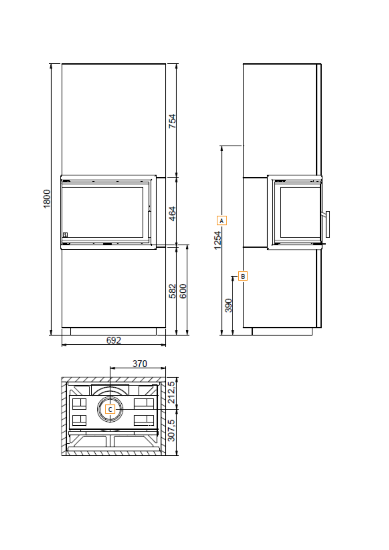

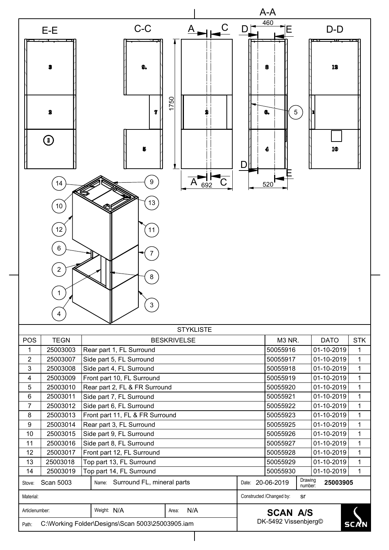|                                                                                                            |                                                      |                                                 |            | A-A                                                |                          |                            |  |  |
|------------------------------------------------------------------------------------------------------------|------------------------------------------------------|-------------------------------------------------|------------|----------------------------------------------------|--------------------------|----------------------------|--|--|
| E-E                                                                                                        | $C-C$                                                | A                                               | $C$ D      | 460<br>E                                           | $D-D$                    |                            |  |  |
| 3                                                                                                          | 9.                                                   |                                                 |            |                                                    | 12                       |                            |  |  |
| 2<br>$\textcircled{\scriptsize{1}}$                                                                        | 7                                                    | 750                                             | D          | $\sqrt{5}$<br>œ.                                   | 10                       |                            |  |  |
| 14<br>10                                                                                                   | 9<br>13                                              | 692                                             |            | 520                                                |                          |                            |  |  |
| 12<br>$6\phantom{1}$<br>2                                                                                  | 11                                                   |                                                 |            |                                                    |                          |                            |  |  |
| $\mathbf 1$<br>4                                                                                           | 8<br>$\mathbf{3}$                                    |                                                 |            |                                                    |                          |                            |  |  |
|                                                                                                            |                                                      | <b>STYKLISTE</b>                                |            |                                                    |                          |                            |  |  |
| <b>POS</b><br><b>TEGN</b>                                                                                  |                                                      | <b>BESKRIVELSE</b>                              |            | M3 NR.                                             | <b>DATO</b>              | <b>STK</b>                 |  |  |
| 1<br>25003003                                                                                              | Rear part 1, FL Surround                             |                                                 |            | 50055916                                           | 01-10-2019               | $\mathbf 1$                |  |  |
| $\overline{2}$<br>25003007                                                                                 | Side part 5, FL Surround                             |                                                 |            | 50055917                                           | 01-10-2019               | 1                          |  |  |
| 3<br>25003008                                                                                              | Side part 4, FL Surround                             |                                                 |            | 50055918                                           | 01-10-2019               | $\mathbf 1$                |  |  |
| 25003009<br>4                                                                                              | Front part 10, FL Surround                           |                                                 | 50055919   | 01-10-2019                                         | $\mathbf 1$              |                            |  |  |
| 5<br>25003010                                                                                              | Rear part 2, FL & FR Surround                        | 50055920                                        | 01-10-2019 | $\mathbf{1}$                                       |                          |                            |  |  |
| $6\phantom{1}6$<br>25003011                                                                                | Side part 7, FL Surround                             |                                                 |            | 50055921                                           | 01-10-2019               | $\mathbf{1}$               |  |  |
| 7<br>25003012                                                                                              | Side part 6, FL Surround                             |                                                 |            | 50055922                                           | 01-10-2019               | $\mathbf 1$                |  |  |
| 25003013<br>8                                                                                              | Front part 11, FL & FR Surround                      |                                                 |            | 50055923                                           | 01-10-2019               | $\mathbf 1$<br>$\mathbf 1$ |  |  |
| 9<br>25003014<br>10<br>25003015                                                                            | Rear part 3, FL Surround                             |                                                 |            | 50055925<br>50055926                               | 01-10-2019<br>01-10-2019 | $\mathbf 1$                |  |  |
| 11<br>25003016                                                                                             | Side part 9, FL Surround<br>Side part 8, FL Surround |                                                 |            | 50055927                                           | 01-10-2019               | $\mathbf{1}$               |  |  |
| 12<br>25003017                                                                                             | Front part 12, FL Surround                           |                                                 |            | 50055928                                           | 01-10-2019               | $\mathbf 1$                |  |  |
| 13<br>25003018<br>Top part 13, FL Surround                                                                 |                                                      |                                                 | 50055929   | 01-10-2019                                         | $\mathbf 1$              |                            |  |  |
| 14<br>25003019                                                                                             | Top part 14, FL Surround                             |                                                 |            | 50055930                                           | 01-10-2019               | $\mathbf 1$                |  |  |
| Scan 5003<br>Stove:                                                                                        | Name: Surround FL, mineral parts                     |                                                 |            | Drawing<br>Date: 20-06-2019<br>25003905<br>number: |                          |                            |  |  |
| Material:                                                                                                  |                                                      |                                                 |            | Constructed /Changed by:<br>sr                     |                          |                            |  |  |
| Weight: N/A<br>Articlenumber:<br>N/A<br>Area:<br>C:\Working Folder\Designs\Scan 5003\25003905.iam<br>Path: |                                                      | <b>SCAN A/S</b><br>DK-5492 Vissenbjerg©<br>SCAN |            |                                                    |                          |                            |  |  |

 $\overline{\phantom{a}}$